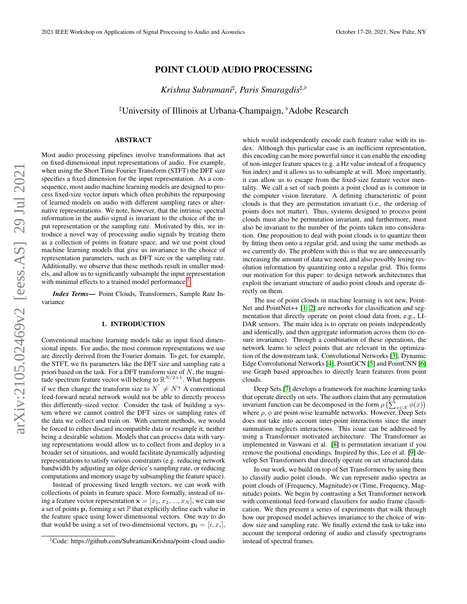# POINT CLOUD AUDIO PROCESSING

*Krishna Subramani*] *, Paris Smaragdis*],[

<sup>‡</sup>University of Illinois at Urbana-Champaign, <sup>b</sup>Adobe Research

# ABSTRACT

Most audio processing pipelines involve transformations that act on fixed-dimensional input representations of audio. For example, when using the Short Time Fourier Transform (STFT) the DFT size specifies a fixed dimension for the input representation. As a consequence, most audio machine learning models are designed to process fixed-size vector inputs which often prohibits the repurposing of learned models on audio with different sampling rates or alternative representations. We note, however, that the intrinsic spectral information in the audio signal is invariant to the choice of the input representation or the sampling rate. Motivated by this, we introduce a novel way of processing audio signals by treating them as a collection of points in feature space, and we use point cloud machine learning models that give us invariance to the choice of representation parameters, such as DFT size or the sampling rate. Additionally, we observe that these methods result in smaller models, and allow us to significantly subsample the input representation with minimal effects to a trained model performance.<sup>[1](#page-0-0)</sup>

*Index Terms*— Point Clouds, Transformers, Sample Rate Invariance

#### 1. INTRODUCTION

Conventional machine learning models take as input fixed dimensional inputs. For audio, the most common representations we use are directly derived from the Fourier domain. To get, for example, the STFT, we fix parameters like the DFT size and sampling rate a priori based on the task. For a DFT transform size of  $N$ , the magnitude spectrum feature vector will belong to  $\mathbb{R}^{N/2+1}$ . What happens if we then change the transform size to  $N' \neq N$ ? A conventional feed-forward neural network would not be able to directly process this differently-sized vector. Consider the task of building a system where we cannot control the DFT sizes or sampling rates of the data we collect and train on. With current methods, we would be forced to either discard incompatible data or resample it, neither being a desirable solution. Models that can process data with varying representations would allow us to collect from and deploy to a broader set of situations, and would facilitate dynamically adjusting representations to satisfy various constraints (e.g. reducing network bandwidth by adjusting an edge device's sampling rate, or reducing computations and memory usage by subsampling the feature space).

Instead of processing fixed length vectors, we can work with collections of points in feature space. More formally, instead of using a feature vector representation  $\mathbf{x} = [x_1, x_2, ..., x_N]$ , we can use a set of points  $\mathbf{p}_i$  forming a set  $\mathbb P$  that explicitly define each value in the feature space using lower dimensional vectors. One way to do that would be using a set of two-dimensional vectors,  $\mathbf{p_i} = [i, x_i]$ ,

which would independently encode each feature value with its index. Although this particular case is an inefficient representation, this encoding can be more powerful since it can enable the encoding of non-integer feature spaces (e.g. a Hz value instead of a frequency bin index) and it allows us to subsample at will. More importantly, it can allow us to escape from the fixed-size feature vector mentality. We call a set of such points a point cloud as is common in the computer vision literature. A defining characteristic of point clouds is that they are permutation invariant (i.e., the ordering of points does not matter). Thus, systems designed to process point clouds must also be permutation invariant, and furthermore, must also be invariant to the number of the points taken into consideration. One proposition to deal with point clouds is to quantize them by fitting them onto a regular grid, and using the same methods as we currently do. The problem with this is that we are unnecessarily increasing the amount of data we need, and also possibly losing resolution information by quantizing onto a regular grid. This forms our motivation for this paper: to design network architectures that exploit the invariant structure of audio point clouds and operate directly on them.

The use of point clouds in machine learning is not new, Point-Net and PointNet++ [\[1,](#page-4-0) [2\]](#page-4-1) are networks for classification and segmentation that directly operate on point cloud data from, e.g., LI-DAR sensors. The main idea is to operate on points independently and identically, and then aggregate information across them (to ensure invariance). Through a combination of these operations, the network learns to select points that are relevant in the optimization of the downstream task. Convolutional Networks [\[3\]](#page-4-2), Dynamic Edge Convolutional Networks [\[4\]](#page-4-3), PointGCN [\[5\]](#page-4-4) and PointCNN [\[6\]](#page-4-5) use Graph based approaches to directly learn features from point clouds.

Deep Sets [\[7\]](#page-4-6) develops a framework for machine learning tasks that operate directly on sets. The authors claim that any permutation invariant function can be decomposed in the form  $\rho\left(\sum_{x \in \mathcal{X}} \phi(x)\right)$ where  $\rho$ ,  $\phi$  are point-wise learnable networks. However, Deep Sets does not take into account inter-point interactions since the inner summation neglects interactions. This issue can be addressed by using a Transformer motivated architecture. The Transformer as implemented in Vaswani et al. [\[8\]](#page-4-7) is permutation invariant if you remove the positional encodings. Inspired by this, Lee et al. [\[9\]](#page-4-8) develop Set Transformers that directly operate on set structured data.

In our work, we build on top of Set Transformers by using them to classify audio point clouds. We can represent audio spectra as point clouds of (Frequency, Magnitude) or (Time, Frequency, Magnitude) points. We begin by contrasting a Set Transformer network with conventional feed-forward classifiers for audio frame classification. We then present a series of experiments that walk through how our proposed model achieves invariance to the choice of window size and sampling rate. We finally extend the task to take into account the temporal ordering of audio and classify spectrograms instead of spectral frames.

<span id="page-0-0"></span><sup>1</sup>Code: https://github.com/SubramaniKrishna/point-cloud-audio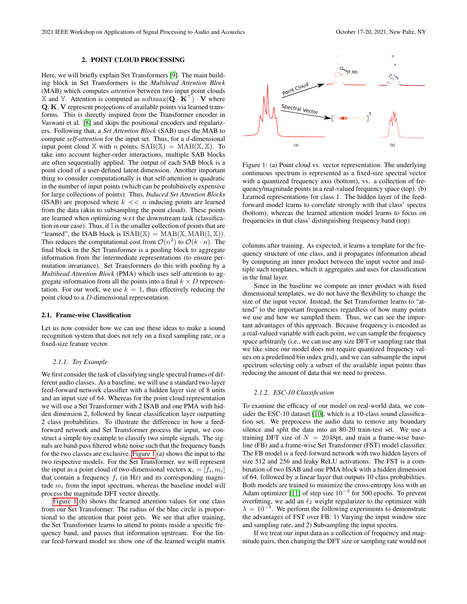#### 2. POINT CLOUD PROCESSING

Here, we will briefly explain Set Transformers [\[9\]](#page-4-8). The main building block in Set Transformers is the *Multihead Attention Block* (MAB) which computes *attention* between two input point clouds  $\mathbb X$  and  $\mathbb Y$ . Attention is computed as softmax( $\mathbf Q \cdot \mathbf K^{\perp}$ )  $\cdot \mathbf V$  where Q, K, V represent projections of available points via learned transforms. This is directly inspired from the Transformer encoder in Vaswani et al. [\[8\]](#page-4-7) and skips the positional encoders and regularizers. Following that, a *Set Attention Block* (SAB) uses the MAB to compute *self-attention* for the input set. Thus, for a d-dimensional input point cloud X with *n* points,  $SAB(X) = MAB(X, X)$ . To take into account higher-order interactions, multiple SAB blocks are often sequentially applied. The output of each SAB block is a point cloud of a user-defined latent dimension. Another important thing to consider computationally is that self-attention is quadratic in the number of input points (which can be prohibitively expensive for large collections of points). Thus, *Induced Set Attention Blocks* (ISAB) are proposed where  $k \ll n$  inducing points are learned from the data (akin to subsampling the point cloud). These points are learned when optimizing w.r.t the downstream task (classification in our case). Thus, if I is the smaller collection of points that are "learned", the ISAB block is  $ISAB(\mathbb{X}) = MAB(\mathbb{X}, MAB(\mathbb{I}, \mathbb{X}))$ . This reduces the computational cost from  $\mathcal{O}(n^2)$  to  $\mathcal{O}(k \cdot n)$ . The final block in the Set Transformer is a pooling block to aggregate information from the intermediate representations (to ensure permutation invariance). Set Transformers do this with pooling by a *Multihead Attention Block* (PMA) which uses self-attention to aggregate information from all the points into a final  $k \times D$  representation. For our work, we use  $k = 1$ , thus effectively reducing the point cloud to a D-dimensional representation.

#### 2.1. Frame-wise Classification

Let us now consider how we can use these ideas to make a sound recognition system that does not rely on a fixed sampling rate, or a fixed-size feature vector.

### *2.1.1. Toy Example*

We first consider the task of classifying single spectral frames of different audio classes. As a baseline, we will use a standard two-layer feed-forward network classifier with a hidden layer size of 8 units and an input size of 64. Whereas for the point cloud representation we will use a Set Transformer with 2 ISAB and one PMA with hidden dimension 2, followed by linear classification layer outputting 2 class probabilities. To illustrate the difference in how a feedforward network and Set Transformer process the input, we construct a simple toy example to classify two simple signals. The signals are band-pass filtered white noise such that the frequency bands for the two classes are exclusive. [Figure 1](#page-1-0) (a) shows the input to the two respective models. For the Set Transformer, we will represent the input as a point cloud of two-dimensional vectors  $x_i = [f_i, m_i]$ that contain a frequency  $f_i$  (in Hz) and its corresponding magnitude  $m_i$  from the input spectrum, whereas the baseline model will process the magnitude DFT vector directly.

[Figure 1](#page-1-0) (b) shows the learned attention values for one class from our Set Transformer. The radius of the blue circle is proportional to the attention that point gets. We see that after training, the Set Transformer learns to attend to points inside a specific frequency band, and passes that information upstream. For the linear feed-forward model we show one of the learned weight matrix



<span id="page-1-0"></span>Figure 1: (a) Point cloud vs. vector representation. The underlying continuous spectrum is represented as a fixed-size spectral vector with a quantized frequency axis (bottom), vs. a collection of frequency/magnitude points in a real-valued frequency space (top). (b) Learned representations for class 1. The hidden layer of the feedforward model learns to correlate strongly with that class' spectra (bottom), whereas the learned attention model learns to focus on frequencies in that class' distinguishing frequency band (top).

columns after training. As expected, it learns a template for the frequency structure of one class, and it propagates information ahead by computing an inner product between the input vector and multiple such templates, which it aggregates and uses for classification in the final layer.

Since in the baseline we compute an inner product with fixed dimensional templates, we do not have the flexibility to change the size of the input vector. Instead, the Set Transformer learns to "attend" to the important frequencies regardless of how many points we use and how we sampled them. Thus, we can see the important advantages of this approach. Because frequency is encoded as a real-valued variable with each point, we can sample the frequency space arbitrarily (i.e., we can use any size DFT or sampling rate that we like since our model does not require quantized frequency values on a predefined bin index grid), and we can subsample the input spectrum selecting only a subset of the available input points thus reducing the amount of data that we need to process.

## *2.1.2. ESC-10 Classification*

To examine the efficacy of our model on real-world data, we consider the ESC-10 dataset [\[10\]](#page-4-9), which is a 10-class sound classification set. We preprocess the audio data to remove any boundary silence and split the data into an 80-20 train-test set. We use a training DFT size of  $N = 2048$ pt, and train a frame-wise baseline (FB) and a frame-wise Set Transformer (FST) model classifier. The FB model is a feed-forward network with two hidden layers of size 512 and 256 and leaky ReLU activations. The FST is a combination of two ISAB and one PMA block with a hidden dimension of 64, followed by a linear layer that outputs 10 class probabilities. Both models are trained to minimize the cross-entropy loss with an Adam optimizer [\[11\]](#page-4-10) of step size  $10^{-3}$  for 500 epochs. To prevent overfitting, we add an  $\ell_2$  weight regularizer to the optimizer with  $\lambda = 10^{-3}$ . We perform the following experiments to demonstrate the advantages of FST over FB: 1) Varying the input window size and sampling rate, and 2) Subsampling the input spectra.

If we treat our input data as a collection of frequency and magnitude pairs, then changing the DFT size or sampling rate would not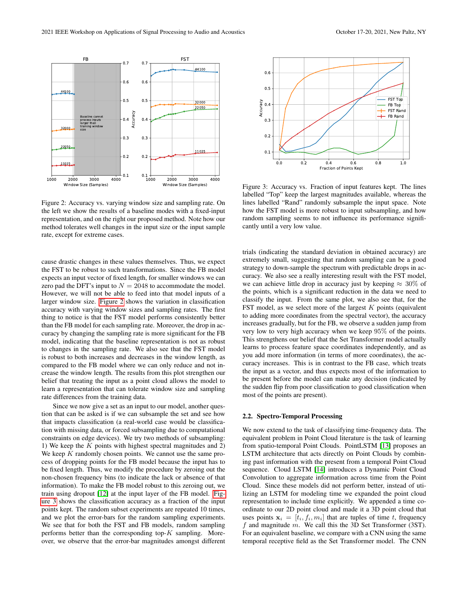

<span id="page-2-0"></span>Figure 2: Accuracy vs. varying window size and sampling rate. On the left we show the results of a baseline modes with a fixed-input representation, and on the right our proposed method. Note how our method tolerates well changes in the input size or the input sample rate, except for extreme cases.

cause drastic changes in these values themselves. Thus, we expect the FST to be robust to such transformations. Since the FB model expects an input vector of fixed length, for smaller windows we can zero pad the DFT's input to  $N = 2048$  to accommodate the model. However, we will not be able to feed into that model inputs of a larger window size. [Figure 2](#page-2-0) shows the variation in classification accuracy with varying window sizes and sampling rates. The first thing to notice is that the FST model performs consistently better than the FB model for each sampling rate. Moreover, the drop in accuracy by changing the sampling rate is more significant for the FB model, indicating that the baseline representation is not as robust to changes in the sampling rate. We also see that the FST model is robust to both increases and decreases in the window length, as compared to the FB model where we can only reduce and not increase the window length. The results from this plot strengthen our belief that treating the input as a point cloud allows the model to learn a representation that can tolerate window size and sampling rate differences from the training data.

Since we now give a set as an input to our model, another question that can be asked is if we can subsample the set and see how that impacts classification (a real-world case would be classification with missing data, or forced subsampling due to computational constraints on edge devices). We try two methods of subsampling: 1) We keep the  $K$  points with highest spectral magnitudes and 2) We keep  $K$  randomly chosen points. We cannot use the same process of dropping points for the FB model because the input has to be fixed length. Thus, we modify the procedure by zeroing out the non-chosen frequency bins (to indicate the lack or absence of that information). To make the FB model robust to this zeroing out, we train using dropout [\[12\]](#page-4-11) at the input layer of the FB model. [Fig](#page-2-1)[ure 3](#page-2-1) shows the classification accuracy as a fraction of the input points kept. The random subset experiments are repeated 10 times, and we plot the error-bars for the random sampling experiments. We see that for both the FST and FB models, random sampling performs better than the corresponding top- $K$  sampling. Moreover, we observe that the error-bar magnitudes amongst different



<span id="page-2-1"></span>Figure 3: Accuracy vs. Fraction of input features kept. The lines labelled "Top" keep the largest magnitudes available, whereas the lines labelled "Rand" randomly subsample the input space. Note how the FST model is more robust to input subsampling, and how random sampling seems to not influence its performance significantly until a very low value.

trials (indicating the standard deviation in obtained accuracy) are extremely small, suggesting that random sampling can be a good strategy to down-sample the spectrum with predictable drops in accuracy. We also see a really interesting result with the FST model, we can achieve little drop in accuracy just by keeping  $\approx 30\%$  of the points, which is a significant reduction in the data we need to classify the input. From the same plot, we also see that, for the FST model, as we select more of the largest  $K$  points (equivalent to adding more coordinates from the spectral vector), the accuracy increases gradually, but for the FB, we observe a sudden jump from very low to very high accuracy when we keep 95% of the points. This strengthens our belief that the Set Transformer model actually learns to process feature space coordinates independently, and as you add more information (in terms of more coordinates), the accuracy increases. This is in contrast to the FB case, which treats the input as a vector, and thus expects most of the information to be present before the model can make any decision (indicated by the sudden flip from poor classification to good classification when most of the points are present).

# 2.2. Spectro-Temporal Processing

We now extend to the task of classifying time-frequency data. The equivalent problem in Point Cloud literature is the task of learning from spatio-temporal Point Clouds. PointLSTM [\[13\]](#page-4-12) proposes an LSTM architecture that acts directly on Point Clouds by combining past information with the present from a temporal Point Cloud sequence. Cloud LSTM [\[14\]](#page-4-13) introduces a Dynamic Point Cloud Convolution to aggregate information across time from the Point Cloud. Since these models did not perform better, instead of utilizing an LSTM for modeling time we expanded the point cloud representation to include time explicitly. We appended a time coordinate to our 2D point cloud and made it a 3D point cloud that uses points  $x_i = [t_i, f_i, m_i]$  that are tuples of time t, frequency  $f$  and magnitude  $m$ . We call this the 3D Set Transformer (3ST). For an equivalent baseline, we compare with a CNN using the same temporal receptive field as the Set Transformer model. The CNN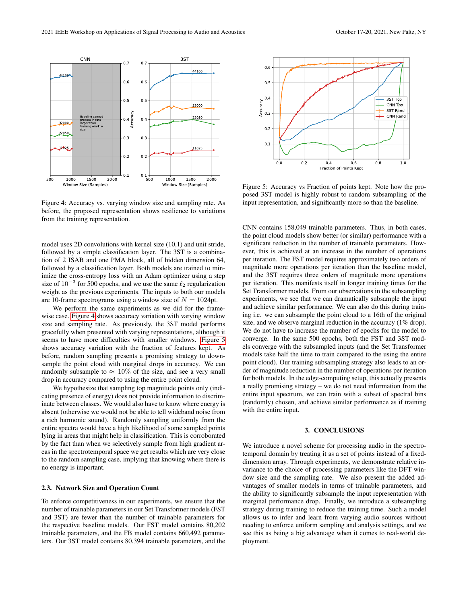

<span id="page-3-0"></span>Figure 4: Accuracy vs. varying window size and sampling rate. As before, the proposed representation shows resilience to variations from the training representation.

model uses 2D convolutions with kernel size (10,1) and unit stride, followed by a simple classification layer. The 3ST is a combination of 2 ISAB and one PMA block, all of hidden dimension 64, followed by a classification layer. Both models are trained to minimize the cross-entropy loss with an Adam optimizer using a step size of  $10^{-3}$  for 500 epochs, and we use the same  $\ell_2$  regularization weight as the previous experiments. The inputs to both our models are 10-frame spectrograms using a window size of  $N = 1024$ pt.

We perform the same experiments as we did for the framewise case. [Figure 4](#page-3-0) shows accuracy variation with varying window size and sampling rate. As previously, the 3ST model performs gracefully when presented with varying representations, although it seems to have more difficulties with smaller windows. [Figure 5](#page-3-1) shows accuracy variation with the fraction of features kept. As before, random sampling presents a promising strategy to downsample the point cloud with marginal drops in accuracy. We can randomly subsample to  $\approx 10\%$  of the size, and see a very small drop in accuracy compared to using the entire point cloud.

We hypothesize that sampling top magnitude points only (indicating presence of energy) does not provide information to discriminate between classes. We would also have to know where energy is absent (otherwise we would not be able to tell wideband noise from a rich harmonic sound). Randomly sampling uniformly from the entire spectra would have a high likelihood of some sampled points lying in areas that might help in classification. This is corroborated by the fact than when we selectively sample from high gradient areas in the spectrotemporal space we get results which are very close to the random sampling case, implying that knowing where there is no energy is important.

## 2.3. Network Size and Operation Count

To enforce competitiveness in our experiments, we ensure that the number of trainable parameters in our Set Transformer models (FST and 3ST) are fewer than the number of trainable parameters for the respective baseline models. Our FST model contains 80,202 trainable parameters, and the FB model contains 660,492 parameters. Our 3ST model contains 80,394 trainable parameters, and the



<span id="page-3-1"></span>Figure 5: Accuracy vs Fraction of points kept. Note how the proposed 3ST model is highly robust to random subsampling of the input representation, and significantly more so than the baseline.

CNN contains 158,049 trainable parameters. Thus, in both cases, the point cloud models show better (or similar) performance with a significant reduction in the number of trainable parameters. However, this is achieved at an increase in the number of operations per iteration. The FST model requires approximately two orders of magnitude more operations per iteration than the baseline model, and the 3ST requires three orders of magnitude more operations per iteration. This manifests itself in longer training times for the Set Transformer models. From our observations in the subsampling experiments, we see that we can dramatically subsample the input and achieve similar performance. We can also do this during training i.e. we can subsample the point cloud to a 16th of the original size, and we observe marginal reduction in the accuracy (1% drop). We do not have to increase the number of epochs for the model to converge. In the same 500 epochs, both the FST and 3ST models converge with the subsampled inputs (and the Set Transformer models take half the time to train compared to the using the entire point cloud). Our training subsampling strategy also leads to an order of magnitude reduction in the number of operations per iteration for both models. In the edge-computing setup, this actually presents a really promising strategy – we do not need information from the entire input spectrum, we can train with a subset of spectral bins (randomly) chosen, and achieve similar performance as if training with the entire input.

### 3. CONCLUSIONS

We introduce a novel scheme for processing audio in the spectrotemporal domain by treating it as a set of points instead of a fixeddimension array. Through experiments, we demonstrate relative invariance to the choice of processing parameters like the DFT window size and the sampling rate. We also present the added advantages of smaller models in terms of trainable parameters, and the ability to significantly subsample the input representation with marginal performance drop. Finally, we introduce a subsampling strategy during training to reduce the training time. Such a model allows us to infer and learn from varying audio sources without needing to enforce uniform sampling and analysis settings, and we see this as being a big advantage when it comes to real-world deployment.